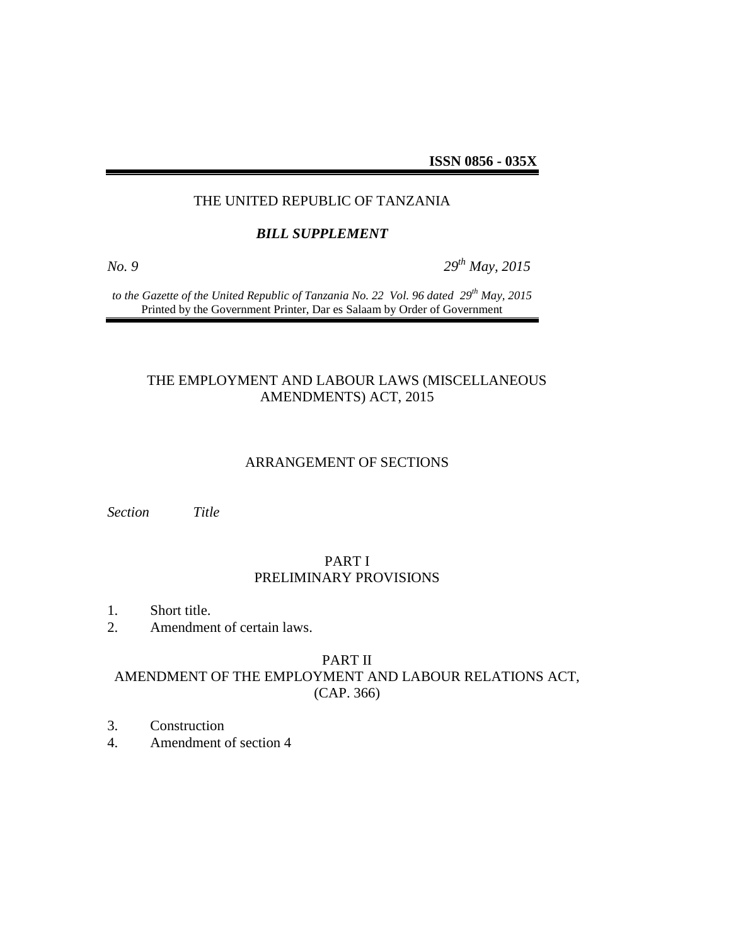**ISSN 0856 - 035X**

### THE UNITED REPUBLIC OF TANZANIA

#### *BILL SUPPLEMENT*

*No. 9 29th May, 2015*

*to the Gazette of the United Republic of Tanzania No. 22 Vol. 96 dated 29th May, 2015* Printed by the Government Printer, Dar es Salaam by Order of Government

### THE EMPLOYMENT AND LABOUR LAWS (MISCELLANEOUS AMENDMENTS) ACT, 2015

### ARRANGEMENT OF SECTIONS

*Section Title*

### PART I PRELIMINARY PROVISIONS

- 1. Short title.
- 2. Amendment of certain laws.

#### PART II

# AMENDMENT OF THE EMPLOYMENT AND LABOUR RELATIONS ACT, (CAP. 366)

- 3. Construction
- 4. Amendment of section 4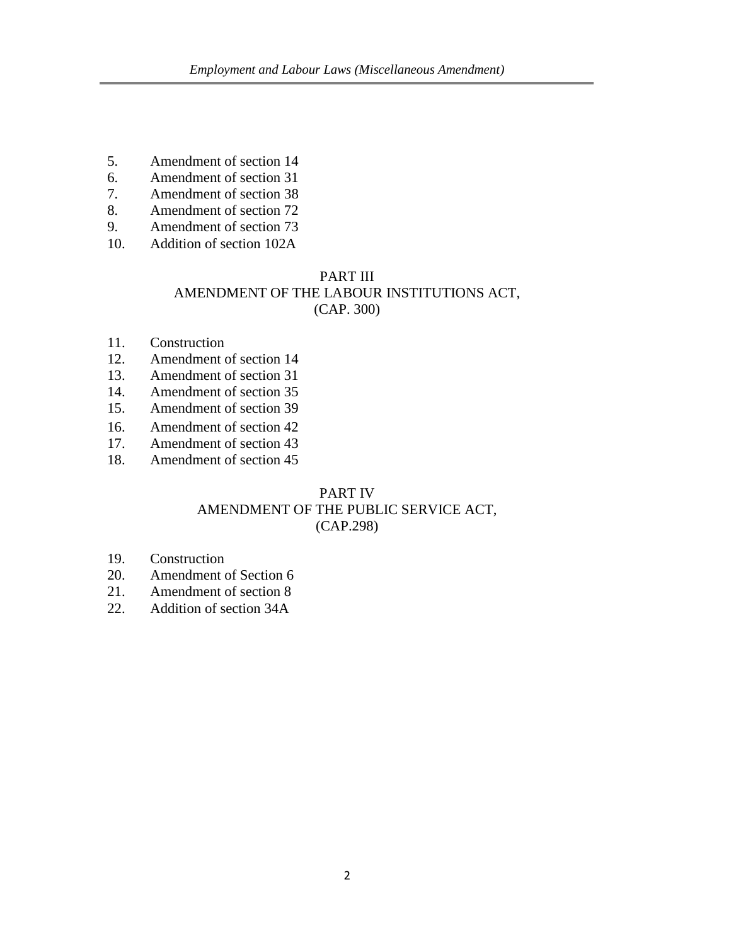- 5. Amendment of section 14
- 6. Amendment of section 31
- 7. Amendment of section 38
- 8. Amendment of section 72
- 9. Amendment of section 73
- 10. Addition of section 102A

### PART III

# AMENDMENT OF THE LABOUR INSTITUTIONS ACT,

(CAP. 300)

- 11. Construction
- 12. Amendment of section 14
- 13. Amendment of section 31
- 14. Amendment of section 35
- 15. Amendment of section 39
- 16. Amendment of section 42
- 17. Amendment of section 43
- 18. Amendment of section 45

### PART IV

### AMENDMENT OF THE PUBLIC SERVICE ACT, (CAP.298)

- 19. Construction
- 20. Amendment of Section 6
- 21. Amendment of section 8
- 22. Addition of section 34A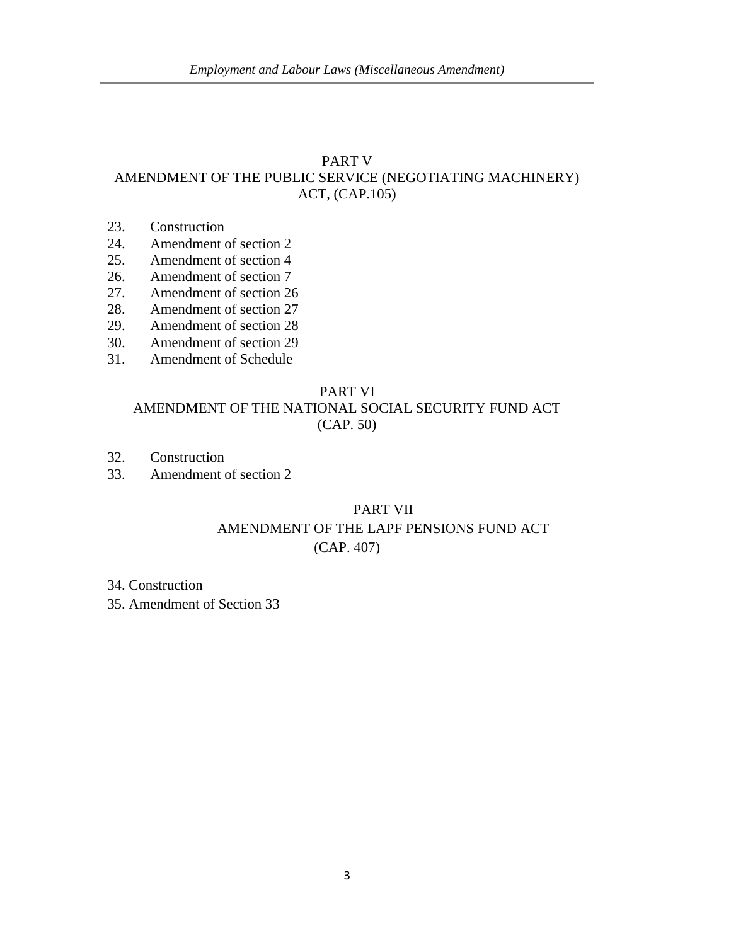# PART V AMENDMENT OF THE PUBLIC SERVICE (NEGOTIATING MACHINERY) ACT, (CAP.105)

- 23. Construction
- 24. Amendment of section 2
- 25. Amendment of section 4
- 26. Amendment of section 7
- 27. Amendment of section 26
- 28. Amendment of section 27
- 29. Amendment of section 28
- 30. Amendment of section 29
- 31. Amendment of Schedule

#### PART VI

### AMENDMENT OF THE NATIONAL SOCIAL SECURITY FUND ACT (CAP. 50)

- 32. Construction
- 33. Amendment of section 2

# PART VII AMENDMENT OF THE LAPF PENSIONS FUND ACT (CAP. 407)

34. Construction

35. Amendment of Section 33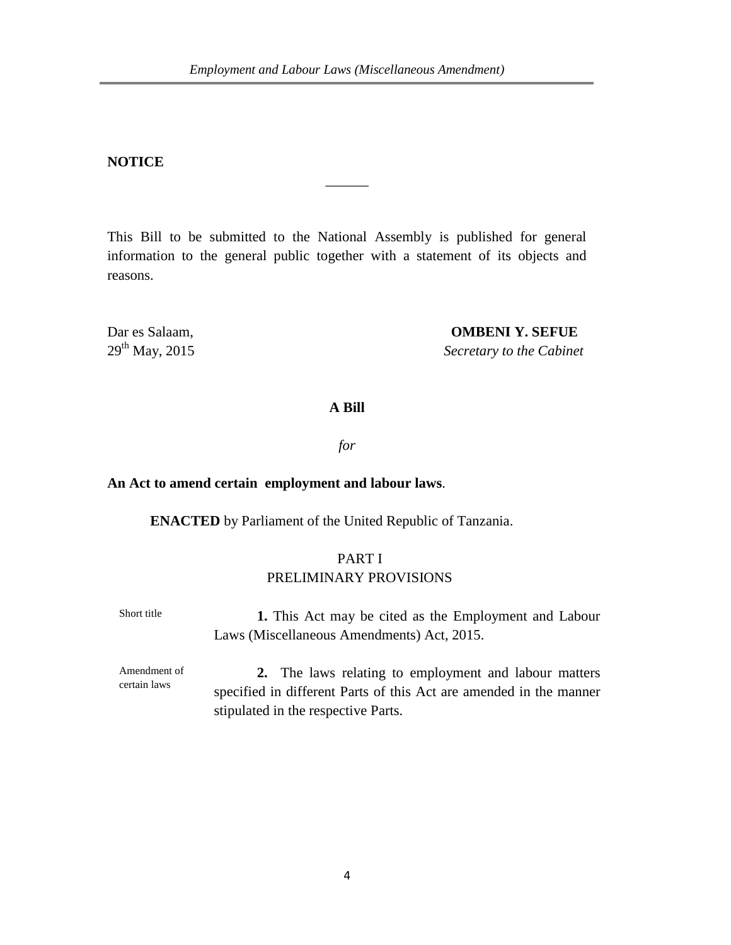### **NOTICE**

This Bill to be submitted to the National Assembly is published for general information to the general public together with a statement of its objects and reasons.

 $\overline{\phantom{a}}$ 

Dar es Salaam, **OMBENI Y. SEFUE**<br>
29<sup>th</sup> May, 2015 Secretary to the Cabine

**Secretary to the Cabinet** 

### **A Bill**

*for*

#### **An Act to amend certain employment and labour laws**.

**ENACTED** by Parliament of the United Republic of Tanzania.

# PART I PRELIMINARY PROVISIONS

Short title **1.** This Act may be cited as the Employment and Labour Laws (Miscellaneous Amendments) Act, 2015.

Amendment of certain laws

**2.** The laws relating to employment and labour matters specified in different Parts of this Act are amended in the manner stipulated in the respective Parts.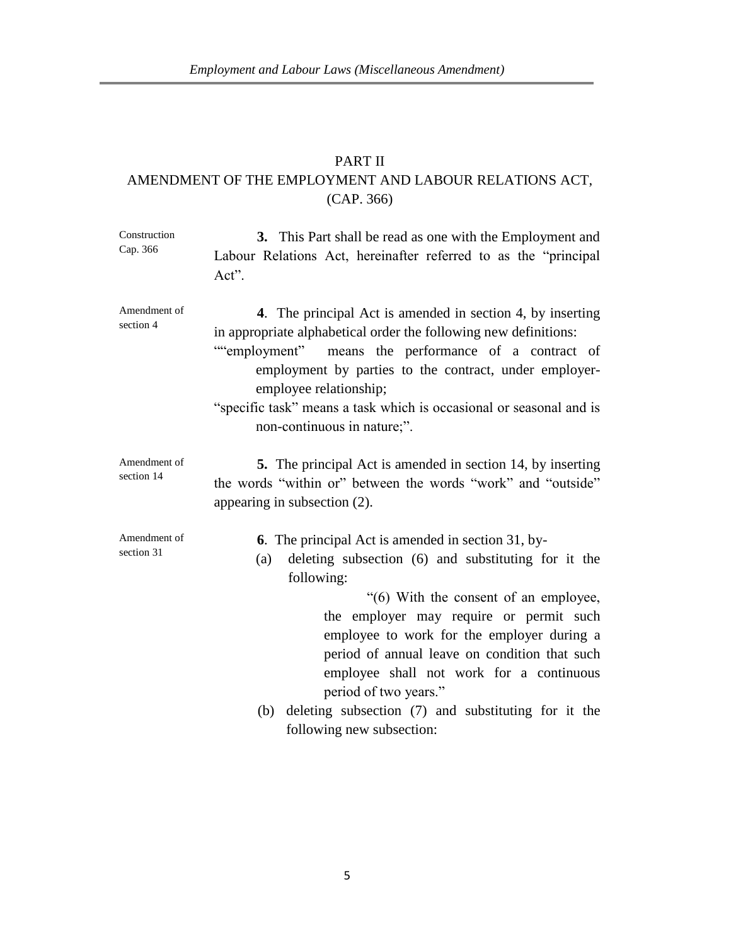# PART II AMENDMENT OF THE EMPLOYMENT AND LABOUR RELATIONS ACT, (CAP. 366)

| Construction<br>Cap. 366   | 3. This Part shall be read as one with the Employment and<br>Labour Relations Act, hereinafter referred to as the "principal<br>Act".                                                                                                                                                                                                                                                                                                                                                    |
|----------------------------|------------------------------------------------------------------------------------------------------------------------------------------------------------------------------------------------------------------------------------------------------------------------------------------------------------------------------------------------------------------------------------------------------------------------------------------------------------------------------------------|
| Amendment of<br>section 4  | 4. The principal Act is amended in section 4, by inserting<br>in appropriate alphabetical order the following new definitions:<br>""employment" means the performance of a contract of<br>employment by parties to the contract, under employer-<br>employee relationship;<br>"specific task" means a task which is occasional or seasonal and is<br>non-continuous in nature;".                                                                                                         |
| Amendment of<br>section 14 | <b>5.</b> The principal Act is amended in section 14, by inserting<br>the words "within or" between the words "work" and "outside"<br>appearing in subsection (2).                                                                                                                                                                                                                                                                                                                       |
| Amendment of<br>section 31 | <b>6.</b> The principal Act is amended in section 31, by-<br>deleting subsection (6) and substituting for it the<br>(a)<br>following:<br>"(6) With the consent of an employee,<br>the employer may require or permit such<br>employee to work for the employer during a<br>period of annual leave on condition that such<br>employee shall not work for a continuous<br>period of two years."<br>deleting subsection (7) and substituting for it the<br>(b)<br>following new subsection: |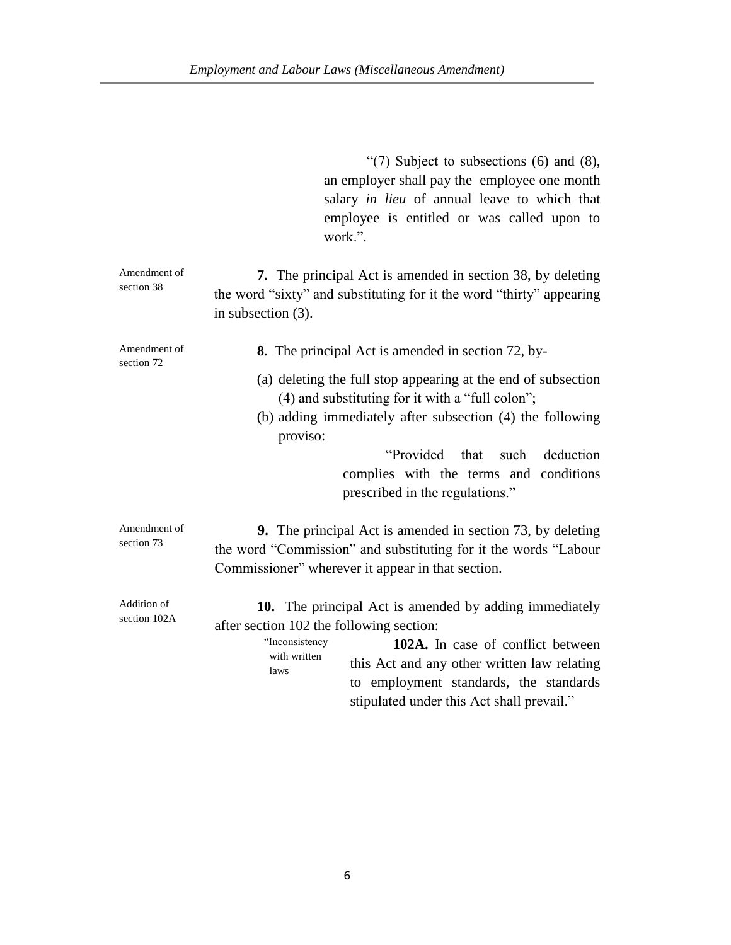|                             | "(7) Subject to subsections $(6)$ and $(8)$ ,<br>an employer shall pay the employee one month<br>salary in lieu of annual leave to which that<br>employee is entitled or was called upon to<br>work.".                                                                                                                  |
|-----------------------------|-------------------------------------------------------------------------------------------------------------------------------------------------------------------------------------------------------------------------------------------------------------------------------------------------------------------------|
| Amendment of<br>section 38  | 7. The principal Act is amended in section 38, by deleting<br>the word "sixty" and substituting for it the word "thirty" appearing<br>in subsection $(3)$ .                                                                                                                                                             |
| Amendment of                | 8. The principal Act is amended in section 72, by-                                                                                                                                                                                                                                                                      |
| section 72                  | (a) deleting the full stop appearing at the end of subsection<br>(4) and substituting for it with a "full colon";<br>(b) adding immediately after subsection (4) the following<br>proviso:                                                                                                                              |
|                             | "Provided that<br>such<br>deduction<br>complies with the terms and conditions<br>prescribed in the regulations."                                                                                                                                                                                                        |
| Amendment of<br>section 73  | <b>9.</b> The principal Act is amended in section 73, by deleting<br>the word "Commission" and substituting for it the words "Labour<br>Commissioner" wherever it appear in that section.                                                                                                                               |
| Addition of<br>section 102A | 10. The principal Act is amended by adding immediately<br>after section 102 the following section:<br>"Inconsistency<br>102A. In case of conflict between<br>with written<br>this Act and any other written law relating<br>laws<br>to employment standards, the standards<br>stipulated under this Act shall prevail." |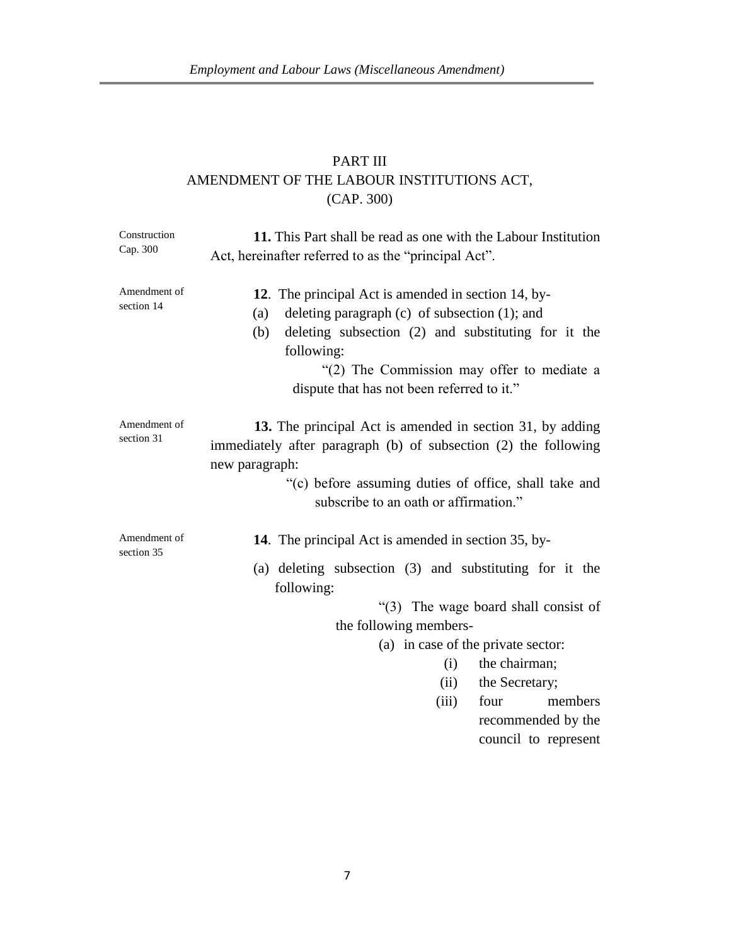# PART III AMENDMENT OF THE LABOUR INSTITUTIONS ACT, (CAP. 300)

| Construction               | 11. This Part shall be read as one with the Labour Institution                                                                                                                                                                                                                           |
|----------------------------|------------------------------------------------------------------------------------------------------------------------------------------------------------------------------------------------------------------------------------------------------------------------------------------|
| Cap. 300                   | Act, hereinafter referred to as the "principal Act".                                                                                                                                                                                                                                     |
| Amendment of<br>section 14 | 12. The principal Act is amended in section 14, by-<br>deleting paragraph $(c)$ of subsection $(1)$ ; and<br>(a)<br>deleting subsection (2) and substituting for it the<br>(b)<br>following:<br>"(2) The Commission may offer to mediate a<br>dispute that has not been referred to it." |
| Amendment of<br>section 31 | 13. The principal Act is amended in section 31, by adding<br>immediately after paragraph (b) of subsection (2) the following<br>new paragraph:<br>"(c) before assuming duties of office, shall take and<br>subscribe to an oath or affirmation."                                         |
| Amendment of<br>section 35 | 14. The principal Act is amended in section 35, by-<br>(a) deleting subsection (3) and substituting for it the<br>following:<br>"(3) The wage board shall consist of                                                                                                                     |
|                            | the following members-                                                                                                                                                                                                                                                                   |
|                            | (a) in case of the private sector:                                                                                                                                                                                                                                                       |
|                            | the chairman;<br>(i)                                                                                                                                                                                                                                                                     |
|                            | the Secretary;<br>(ii)                                                                                                                                                                                                                                                                   |
|                            | (iii)<br>four<br>members                                                                                                                                                                                                                                                                 |
|                            | recommended by the                                                                                                                                                                                                                                                                       |
|                            | council to represent                                                                                                                                                                                                                                                                     |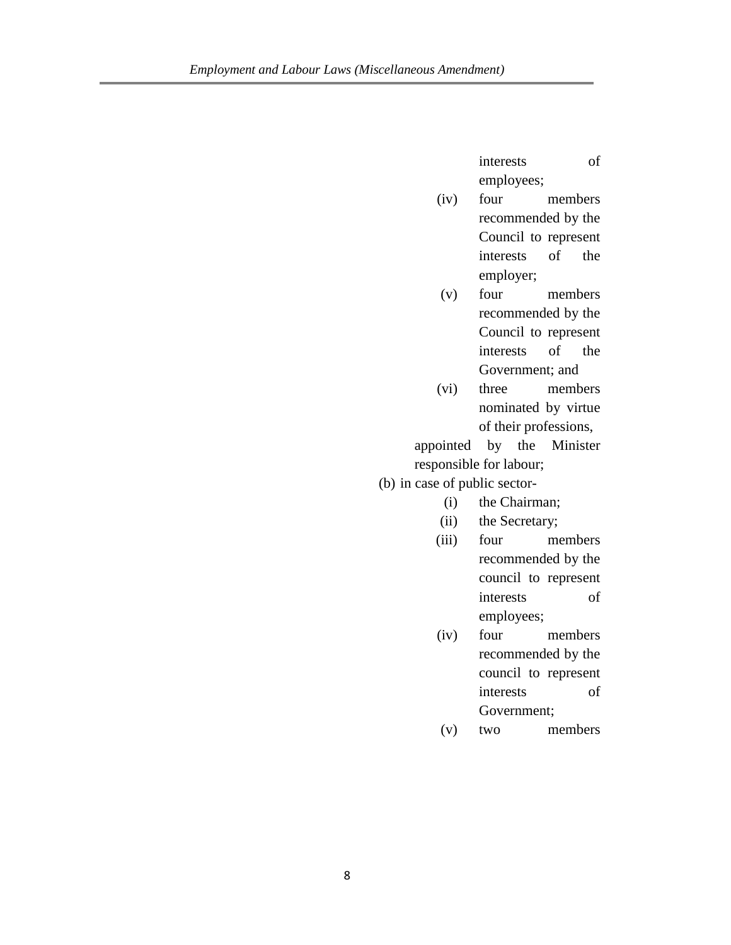interests of employees;

- (iv) four members recommended by the Council to represent interests of the employer;
- (v) four members recommended by the Council to represent interests of the Government; and
- (vi) three members nominated by virtue of their professions,

appointed by the Minister responsible for labour;

(b) in case of public sector-

- (i) the Chairman;
- (ii) the Secretary;
- (iii) four members recommended by the council to represent interests of employees;
- (iv) four members recommended by the council to represent interests of Government;
- (v) two members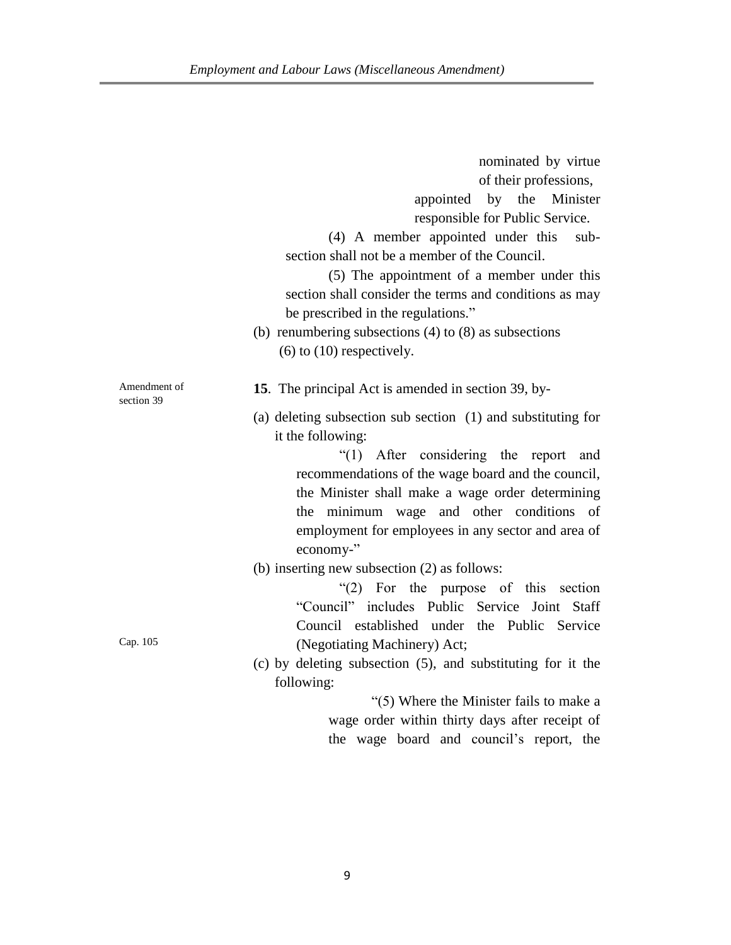|                            | nominated by virtue<br>of their professions,<br>appointed by the Minister<br>responsible for Public Service.<br>(4) A member appointed under this<br>sub-<br>section shall not be a member of the Council.<br>(5) The appointment of a member under this<br>section shall consider the terms and conditions as may<br>be prescribed in the regulations."<br>(b) renumbering subsections $(4)$ to $(8)$ as subsections<br>$(6)$ to $(10)$ respectively. |
|----------------------------|--------------------------------------------------------------------------------------------------------------------------------------------------------------------------------------------------------------------------------------------------------------------------------------------------------------------------------------------------------------------------------------------------------------------------------------------------------|
| Amendment of<br>section 39 | 15. The principal Act is amended in section 39, by-<br>(a) deleting subsection sub section (1) and substituting for<br>it the following:<br>"(1) After considering the report and<br>recommendations of the wage board and the council,                                                                                                                                                                                                                |
|                            | the Minister shall make a wage order determining<br>the minimum wage and other conditions of<br>employment for employees in any sector and area of<br>economy-"                                                                                                                                                                                                                                                                                        |
|                            | (b) inserting new subsection (2) as follows:<br>"(2) For the purpose of this section<br>"Council" includes Public Service Joint Staff<br>Council established under the Public Service                                                                                                                                                                                                                                                                  |
| Cap. 105                   | (Negotiating Machinery) Act;<br>$(c)$ by deleting subsection $(5)$ , and substituting for it the<br>following:<br>"(5) Where the Minister fails to make a<br>wage order within thirty days after receipt of<br>the wage board and council's report, the                                                                                                                                                                                                |
|                            |                                                                                                                                                                                                                                                                                                                                                                                                                                                        |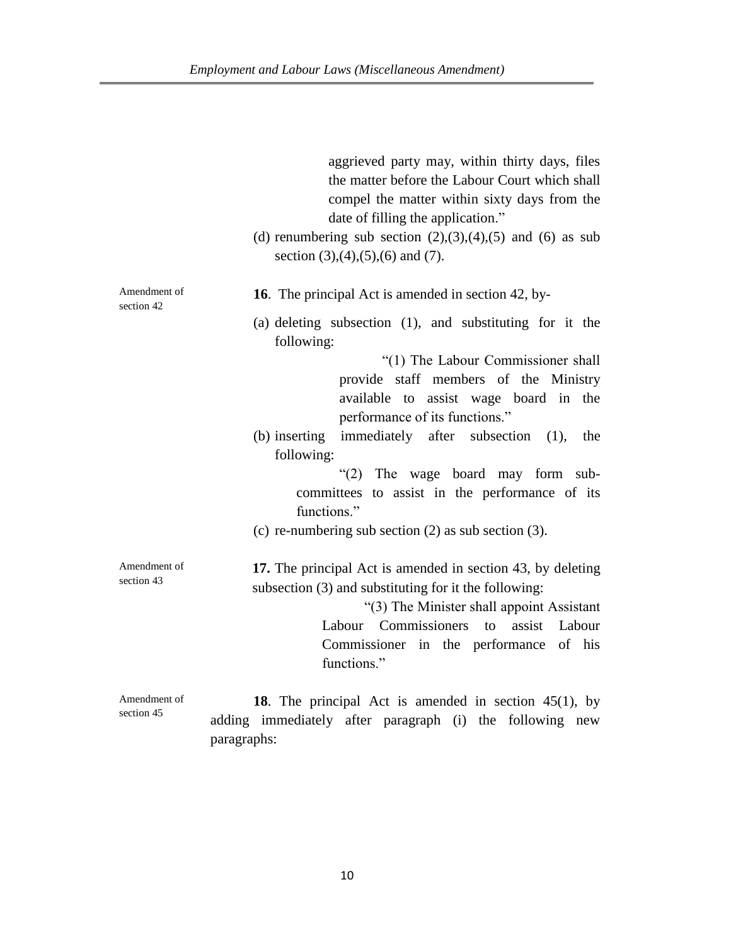|                            | aggrieved party may, within thirty days, files<br>the matter before the Labour Court which shall<br>compel the matter within sixty days from the<br>date of filling the application."                                                                                        |
|----------------------------|------------------------------------------------------------------------------------------------------------------------------------------------------------------------------------------------------------------------------------------------------------------------------|
|                            | (d) renumbering sub section $(2),(3),(4),(5)$ and $(6)$ as sub<br>section $(3)$ , $(4)$ , $(5)$ , $(6)$ and $(7)$ .                                                                                                                                                          |
| Amendment of<br>section 42 | <b>16.</b> The principal Act is amended in section 42, by-                                                                                                                                                                                                                   |
|                            | (a) deleting subsection (1), and substituting for it the<br>following:                                                                                                                                                                                                       |
|                            | "(1) The Labour Commissioner shall<br>provide staff members of the Ministry<br>available to assist wage board in the<br>performance of its functions."<br>immediately after subsection<br>(b) inserting<br>(1),<br>the<br>following:                                         |
|                            | (2)<br>The wage board may form sub-<br>committees to assist in the performance of its<br>functions."                                                                                                                                                                         |
|                            | (c) re-numbering sub section $(2)$ as sub section $(3)$ .                                                                                                                                                                                                                    |
| Amendment of<br>section 43 | 17. The principal Act is amended in section 43, by deleting<br>subsection (3) and substituting for it the following:<br>"(3) The Minister shall appoint Assistant<br>Labour Commissioners<br>assist<br>to<br>Labour<br>Commissioner in the performance of his<br>functions." |
| Amendment of<br>section 45 | 18. The principal Act is amended in section $45(1)$ , by<br>adding immediately after paragraph (i) the following new<br>paragraphs:                                                                                                                                          |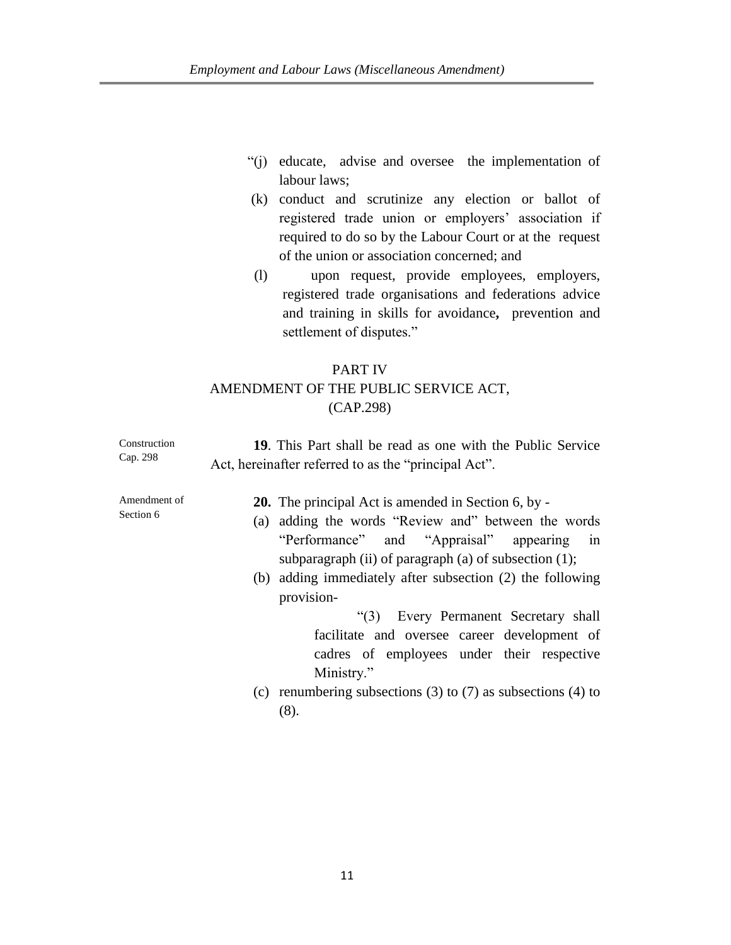- "(j) educate, advise and oversee the implementation of labour laws;
- (k) conduct and scrutinize any election or ballot of registered trade union or employers' association if required to do so by the Labour Court or at the request of the union or association concerned; and
- (l) upon request, provide employees, employers, registered trade organisations and federations advice and training in skills for avoidance**,** prevention and settlement of disputes."

# PART IV AMENDMENT OF THE PUBLIC SERVICE ACT, (CAP.298)

| Construction<br>Cap. 298  | 19. This Part shall be read as one with the Public Service<br>Act, hereinafter referred to as the "principal Act".                                                                                                                                                                                                                                                                                                                                 |
|---------------------------|----------------------------------------------------------------------------------------------------------------------------------------------------------------------------------------------------------------------------------------------------------------------------------------------------------------------------------------------------------------------------------------------------------------------------------------------------|
| Amendment of<br>Section 6 | <b>20.</b> The principal Act is amended in Section 6, by -<br>adding the words "Review and" between the words<br>(a)<br>"Performance" and "Appraisal" appearing<br>1n<br>subparagraph (ii) of paragraph (a) of subsection $(1)$ ;<br>(b) adding immediately after subsection (2) the following<br>provision-<br>"(3) Every Permanent Secretary shall<br>facilitate and oversee career development of<br>cadres of employees under their respective |
|                           | Ministry."<br>(c) renumbering subsections (3) to (7) as subsections (4) to<br>(8).                                                                                                                                                                                                                                                                                                                                                                 |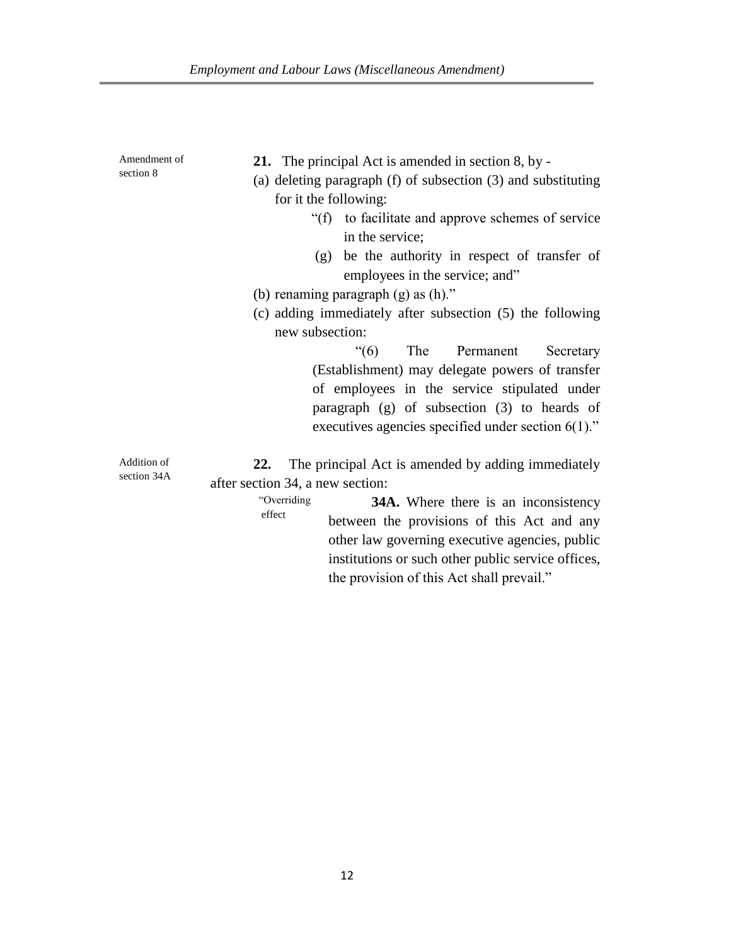| Amendment of<br>section 8  | <b>21.</b> The principal Act is amended in section 8, by -<br>(a) deleting paragraph $(f)$ of subsection $(3)$ and substituting<br>for it the following:<br>"(f) to facilitate and approve schemes of service"<br>in the service;<br>(g) be the authority in respect of transfer of<br>employees in the service; and"<br>(b) renaming paragraph $(g)$ as $(h)$ ."<br>(c) adding immediately after subsection (5) the following |
|----------------------------|--------------------------------------------------------------------------------------------------------------------------------------------------------------------------------------------------------------------------------------------------------------------------------------------------------------------------------------------------------------------------------------------------------------------------------|
|                            | new subsection:                                                                                                                                                                                                                                                                                                                                                                                                                |
|                            | $\degree(6)$<br>The Permanent<br>Secretary<br>(Establishment) may delegate powers of transfer<br>of employees in the service stipulated under<br>paragraph $(g)$ of subsection $(3)$ to heards of<br>executives agencies specified under section $6(1)$ ."                                                                                                                                                                     |
| Addition of<br>section 34A | The principal Act is amended by adding immediately<br>22.<br>after section 34, a new section:                                                                                                                                                                                                                                                                                                                                  |
|                            | "Overriding"<br><b>34A.</b> Where there is an inconsistency<br>effect<br>between the provisions of this Act and any                                                                                                                                                                                                                                                                                                            |

other law governing executive agencies, public institutions or such other public service offices,

the provision of this Act shall prevail."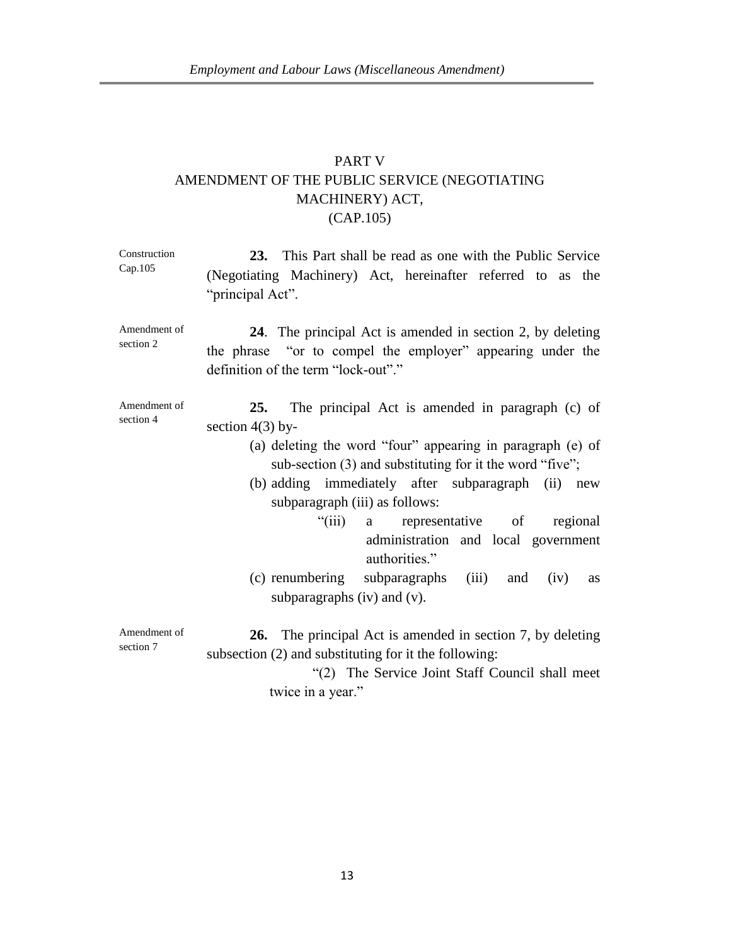# PART V AMENDMENT OF THE PUBLIC SERVICE (NEGOTIATING MACHINERY) ACT, (CAP.105)

| Construction<br>Cap.105   | 23. This Part shall be read as one with the Public Service<br>(Negotiating Machinery) Act, hereinafter referred to as the<br>"principal Act".                                                                                                                                                                                                                                                                                                                                                              |
|---------------------------|------------------------------------------------------------------------------------------------------------------------------------------------------------------------------------------------------------------------------------------------------------------------------------------------------------------------------------------------------------------------------------------------------------------------------------------------------------------------------------------------------------|
| Amendment of<br>section 2 | 24. The principal Act is amended in section 2, by deleting<br>the phrase "or to compel the employer" appearing under the<br>definition of the term "lock-out"."                                                                                                                                                                                                                                                                                                                                            |
| Amendment of<br>section 4 | 25.<br>The principal Act is amended in paragraph (c) of<br>section $4(3)$ by-<br>(a) deleting the word "four" appearing in paragraph (e) of<br>sub-section $(3)$ and substituting for it the word "five";<br>(b) adding immediately after subparagraph (ii)<br>new<br>subparagraph (iii) as follows:<br>"(iii) a representative of<br>regional<br>administration and local government<br>authorities."<br>(c) renumbering subparagraphs (iii) and<br>(iv)<br><b>as</b><br>subparagraphs $(iv)$ and $(v)$ . |
| Amendment of<br>section 7 | <b>26.</b> The principal Act is amended in section 7, by deleting<br>subsection (2) and substituting for it the following:<br>"(2) The Service Joint Staff Council shall meet<br>twice in a year."                                                                                                                                                                                                                                                                                                         |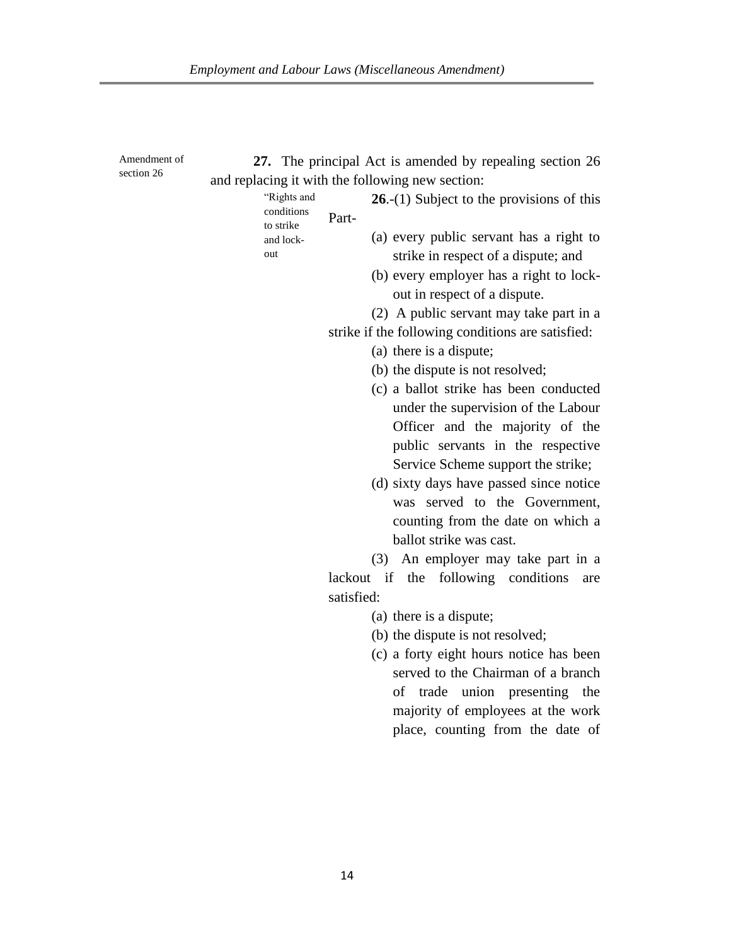| Amendment of<br>section 26 | 27. The principal Act is amended by repealing section 26<br>and replacing it with the following new section:                                                                  |
|----------------------------|-------------------------------------------------------------------------------------------------------------------------------------------------------------------------------|
|                            | "Rights and<br>26.-(1) Subject to the provisions of this<br>conditions<br>Part-<br>to strike                                                                                  |
|                            | (a) every public servant has a right to<br>and lock-<br>out<br>strike in respect of a dispute; and<br>(b) every employer has a right to lock-<br>out in respect of a dispute. |
|                            | (2) A public servant may take part in a                                                                                                                                       |
|                            | strike if the following conditions are satisfied:                                                                                                                             |
|                            | (a) there is a dispute;                                                                                                                                                       |
|                            | (b) the dispute is not resolved;                                                                                                                                              |
|                            | (c) a ballot strike has been conducted                                                                                                                                        |
|                            | under the supervision of the Labour                                                                                                                                           |
|                            | Officer and the majority of the                                                                                                                                               |
|                            | public servants in the respective                                                                                                                                             |
|                            | Service Scheme support the strike;                                                                                                                                            |
|                            | (d) sixty days have passed since notice<br>was served to the Government,                                                                                                      |
|                            | counting from the date on which a                                                                                                                                             |
|                            | ballot strike was cast.                                                                                                                                                       |
|                            | (3) An employer may take part in a                                                                                                                                            |
|                            | lackout if the following conditions<br>are                                                                                                                                    |
|                            | satisfied:                                                                                                                                                                    |
|                            | (a) there is a dispute;                                                                                                                                                       |
|                            | (b) the dispute is not resolved;                                                                                                                                              |
|                            | (c) a forty eight hours notice has been                                                                                                                                       |
|                            | served to the Chairman of a branch                                                                                                                                            |
|                            | union presenting the<br>of trade                                                                                                                                              |
|                            | majority of employees at the work                                                                                                                                             |
|                            | place, counting from the date of                                                                                                                                              |
|                            |                                                                                                                                                                               |
|                            |                                                                                                                                                                               |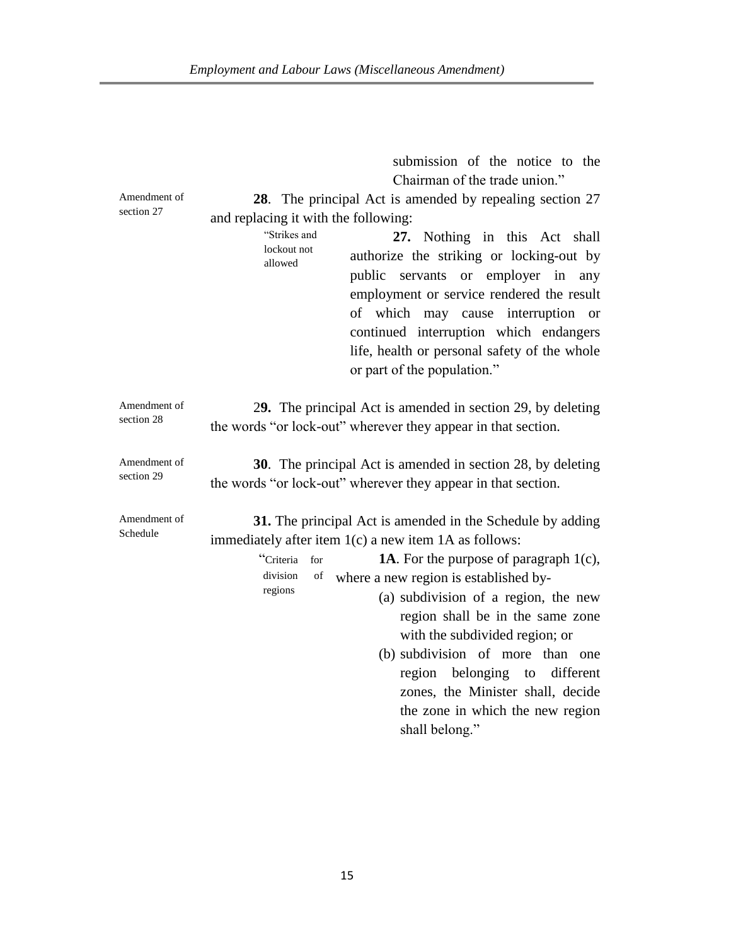|                            | submission of the notice to the                                                                                                                                                                                                                                                                                                                                                                                                                                                                                                                          |
|----------------------------|----------------------------------------------------------------------------------------------------------------------------------------------------------------------------------------------------------------------------------------------------------------------------------------------------------------------------------------------------------------------------------------------------------------------------------------------------------------------------------------------------------------------------------------------------------|
|                            | Chairman of the trade union."                                                                                                                                                                                                                                                                                                                                                                                                                                                                                                                            |
| Amendment of<br>section 27 | 28. The principal Act is amended by repealing section 27<br>and replacing it with the following:<br>"Strikes and<br>27. Nothing in this Act shall<br>lockout not<br>authorize the striking or locking-out by<br>allowed<br>or employer in<br>public servants<br>any<br>employment or service rendered the result<br>of which<br>interruption<br>may cause<br><sub>or</sub><br>continued interruption which endangers<br>life, health or personal safety of the whole<br>or part of the population."                                                      |
| Amendment of<br>section 28 | 29. The principal Act is amended in section 29, by deleting<br>the words "or lock-out" wherever they appear in that section.                                                                                                                                                                                                                                                                                                                                                                                                                             |
| Amendment of<br>section 29 | <b>30</b> . The principal Act is amended in section 28, by deleting<br>the words "or lock-out" wherever they appear in that section.                                                                                                                                                                                                                                                                                                                                                                                                                     |
| Amendment of<br>Schedule   | 31. The principal Act is amended in the Schedule by adding<br>immediately after item 1(c) a new item 1A as follows:<br><b>1A.</b> For the purpose of paragraph $1(c)$ ,<br>"Criteria<br>for<br>division<br>of<br>where a new region is established by-<br>regions<br>(a) subdivision of a region, the new<br>region shall be in the same zone<br>with the subdivided region; or<br>(b) subdivision of more than one<br>belonging<br>different<br>region<br>to<br>zones, the Minister shall, decide<br>the zone in which the new region<br>shall belong." |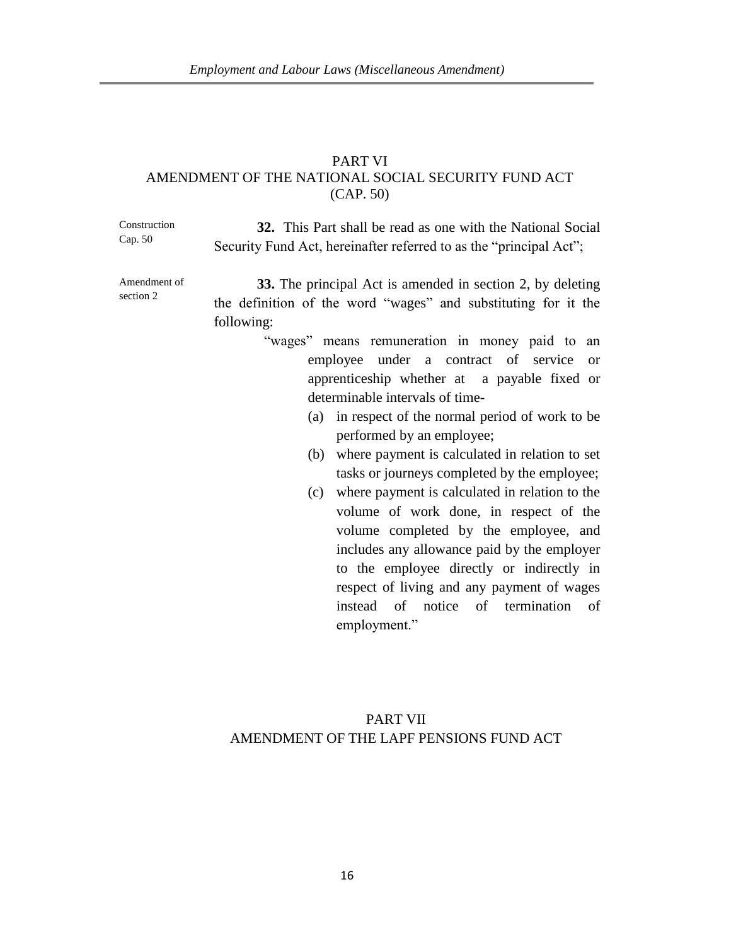### PART VI AMENDMENT OF THE NATIONAL SOCIAL SECURITY FUND ACT (CAP. 50)

Construction Cap. 50 **32.** This Part shall be read as one with the National Social Security Fund Act, hereinafter referred to as the "principal Act";

Amendment of section 2

**33.** The principal Act is amended in section 2, by deleting the definition of the word "wages" and substituting for it the following:

- "wages" means remuneration in money paid to an employee under a contract of service or apprenticeship whether at a payable fixed or determinable intervals of time-
	- (a) in respect of the normal period of work to be performed by an employee;
	- (b) where payment is calculated in relation to set tasks or journeys completed by the employee;
	- (c) where payment is calculated in relation to the volume of work done, in respect of the volume completed by the employee, and includes any allowance paid by the employer to the employee directly or indirectly in respect of living and any payment of wages instead of notice of termination of employment."

# PART VII AMENDMENT OF THE LAPF PENSIONS FUND ACT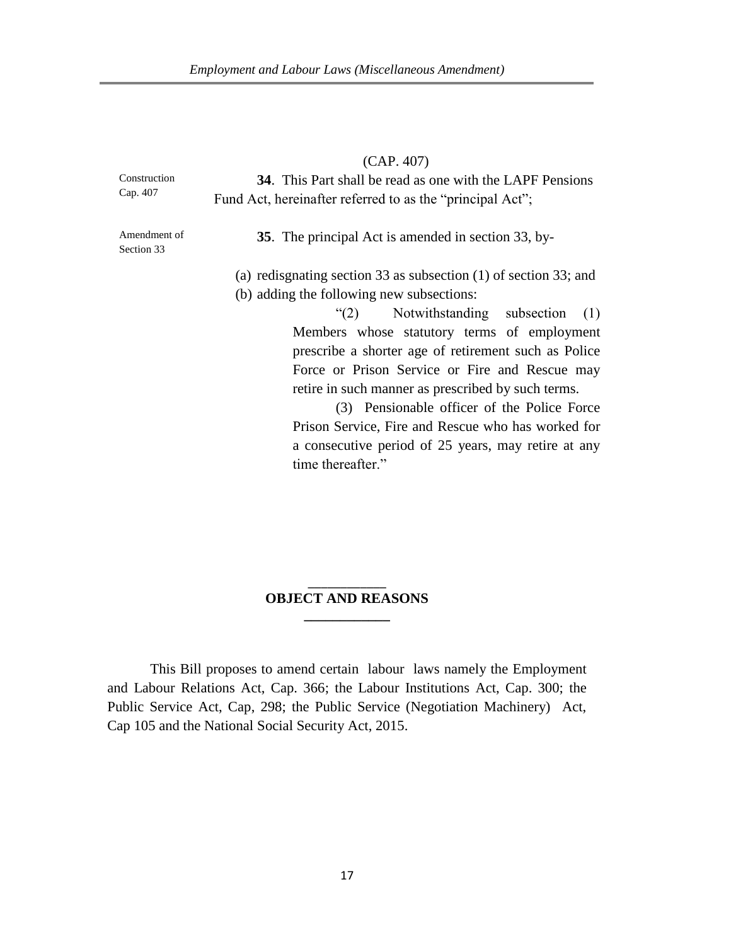|                            | (CAP. 407)                                                         |
|----------------------------|--------------------------------------------------------------------|
| Construction<br>Cap. 407   | <b>34.</b> This Part shall be read as one with the LAPF Pensions   |
|                            | Fund Act, hereinafter referred to as the "principal Act";          |
| Amendment of<br>Section 33 | 35. The principal Act is amended in section 33, by-                |
|                            | (a) redisgnating section 33 as subsection $(1)$ of section 33; and |
|                            | (b) adding the following new subsections:                          |
|                            | "(2) Notwithstanding subsection<br>(1)                             |
|                            | Members whose statutory terms of employment                        |
|                            | prescribe a shorter age of retirement such as Police               |
|                            | Force or Prison Service or Fire and Rescue may                     |
|                            | retire in such manner as prescribed by such terms.                 |
|                            | (3) Pensionable officer of the Police Force                        |
|                            | Prison Service, Fire and Rescue who has worked for                 |
|                            | a consecutive period of 25 years, may retire at any                |

### \_\_\_\_\_\_\_\_\_\_\_\_ **OBJECT AND REASONS \_\_\_\_\_\_\_\_\_\_\_\_**

time thereafter."

This Bill proposes to amend certain labour laws namely the Employment and Labour Relations Act, Cap. 366; the Labour Institutions Act, Cap. 300; the Public Service Act, Cap, 298; the Public Service (Negotiation Machinery) Act, Cap 105 and the National Social Security Act, 2015.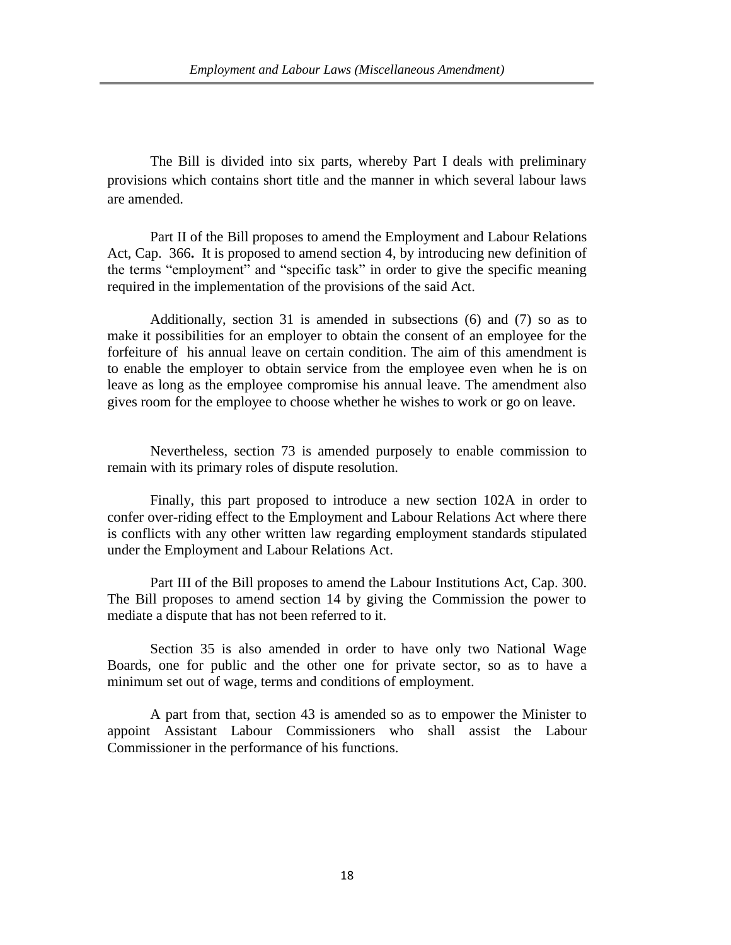The Bill is divided into six parts, whereby Part I deals with preliminary provisions which contains short title and the manner in which several labour laws are amended.

Part II of the Bill proposes to amend the Employment and Labour Relations Act, Cap.366**.** It is proposed to amend section 4, by introducing new definition of the terms "employment" and "specific task" in order to give the specific meaning required in the implementation of the provisions of the said Act.

Additionally, section 31 is amended in subsections (6) and (7) so as to make it possibilities for an employer to obtain the consent of an employee for the forfeiture of his annual leave on certain condition. The aim of this amendment is to enable the employer to obtain service from the employee even when he is on leave as long as the employee compromise his annual leave. The amendment also gives room for the employee to choose whether he wishes to work or go on leave.

Nevertheless, section 73 is amended purposely to enable commission to remain with its primary roles of dispute resolution.

Finally, this part proposed to introduce a new section 102A in order to confer over-riding effect to the Employment and Labour Relations Act where there is conflicts with any other written law regarding employment standards stipulated under the Employment and Labour Relations Act.

Part III of the Bill proposes to amend the Labour Institutions Act, Cap. 300. The Bill proposes to amend section 14 by giving the Commission the power to mediate a dispute that has not been referred to it.

Section 35 is also amended in order to have only two National Wage Boards, one for public and the other one for private sector, so as to have a minimum set out of wage, terms and conditions of employment.

A part from that, section 43 is amended so as to empower the Minister to appoint Assistant Labour Commissioners who shall assist the Labour Commissioner in the performance of his functions.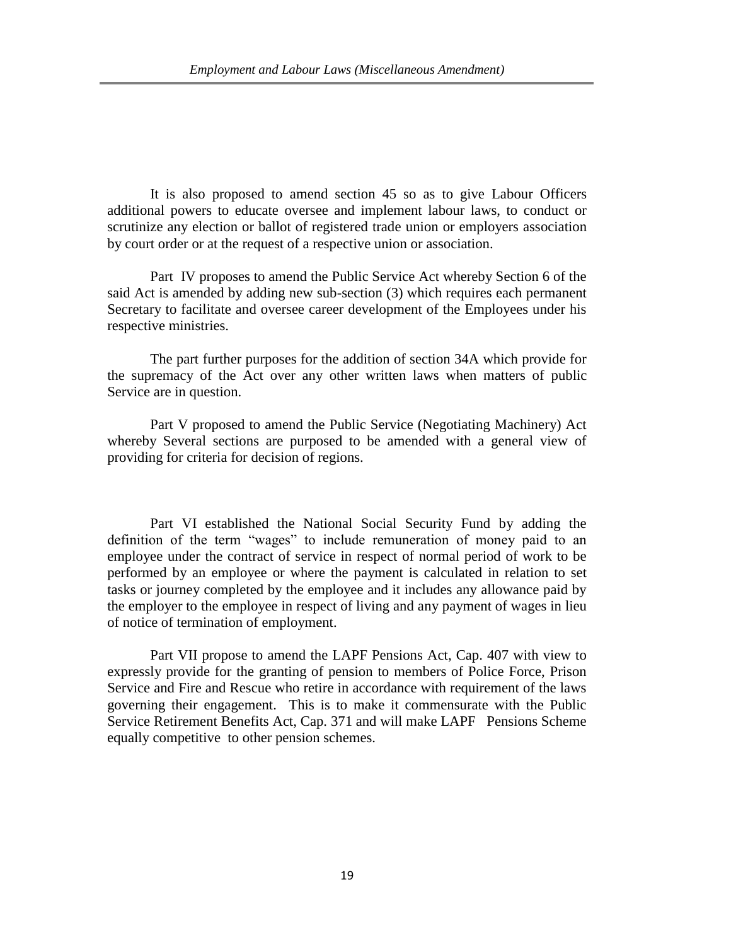It is also proposed to amend section 45 so as to give Labour Officers additional powers to educate oversee and implement labour laws, to conduct or scrutinize any election or ballot of registered trade union or employers association by court order or at the request of a respective union or association.

Part IV proposes to amend the Public Service Act whereby Section 6 of the said Act is amended by adding new sub-section (3) which requires each permanent Secretary to facilitate and oversee career development of the Employees under his respective ministries.

The part further purposes for the addition of section 34A which provide for the supremacy of the Act over any other written laws when matters of public Service are in question.

Part V proposed to amend the Public Service (Negotiating Machinery) Act whereby Several sections are purposed to be amended with a general view of providing for criteria for decision of regions.

Part VI established the National Social Security Fund by adding the definition of the term "wages" to include remuneration of money paid to an employee under the contract of service in respect of normal period of work to be performed by an employee or where the payment is calculated in relation to set tasks or journey completed by the employee and it includes any allowance paid by the employer to the employee in respect of living and any payment of wages in lieu of notice of termination of employment.

Part VII propose to amend the LAPF Pensions Act, Cap. 407 with view to expressly provide for the granting of pension to members of Police Force, Prison Service and Fire and Rescue who retire in accordance with requirement of the laws governing their engagement. This is to make it commensurate with the Public Service Retirement Benefits Act, Cap. 371 and will make LAPF Pensions Scheme equally competitive to other pension schemes.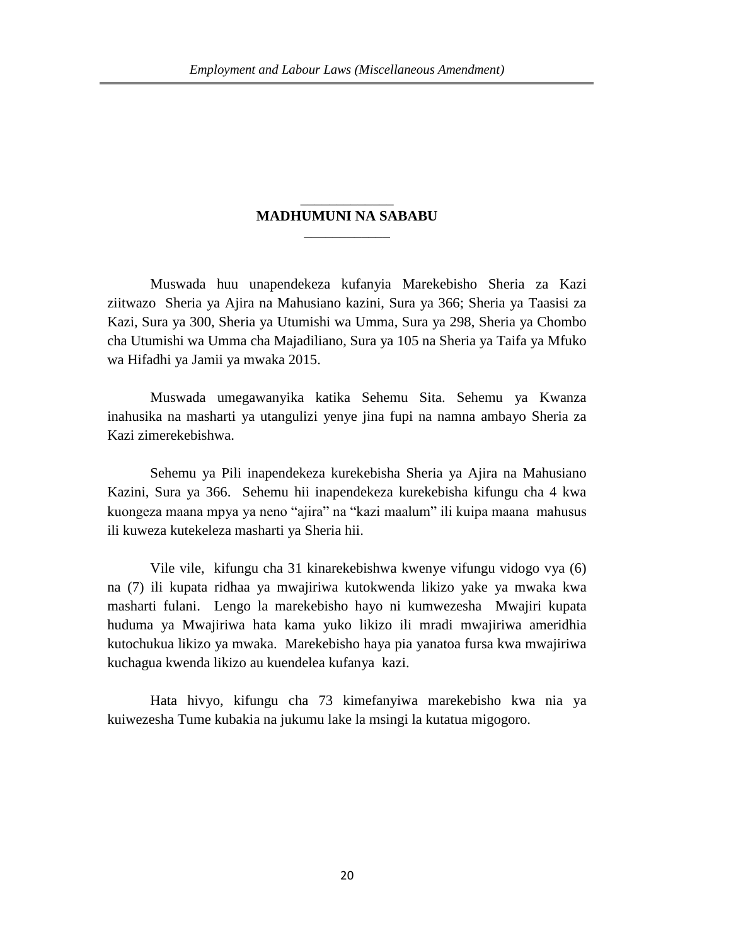### \_\_\_\_\_\_\_\_\_\_\_\_\_ **MADHUMUNI NA SABABU** \_\_\_\_\_\_\_\_\_\_\_\_

Muswada huu unapendekeza kufanyia Marekebisho Sheria za Kazi ziitwazo Sheria ya Ajira na Mahusiano kazini, Sura ya 366; Sheria ya Taasisi za Kazi, Sura ya 300, Sheria ya Utumishi wa Umma, Sura ya 298, Sheria ya Chombo cha Utumishi wa Umma cha Majadiliano, Sura ya 105 na Sheria ya Taifa ya Mfuko wa Hifadhi ya Jamii ya mwaka 2015.

Muswada umegawanyika katika Sehemu Sita. Sehemu ya Kwanza inahusika na masharti ya utangulizi yenye jina fupi na namna ambayo Sheria za Kazi zimerekebishwa.

Sehemu ya Pili inapendekeza kurekebisha Sheria ya Ajira na Mahusiano Kazini, Sura ya 366. Sehemu hii inapendekeza kurekebisha kifungu cha 4 kwa kuongeza maana mpya ya neno "ajira" na "kazi maalum" ili kuipa maana mahusus ili kuweza kutekeleza masharti ya Sheria hii.

Vile vile, kifungu cha 31 kinarekebishwa kwenye vifungu vidogo vya (6) na (7) ili kupata ridhaa ya mwajiriwa kutokwenda likizo yake ya mwaka kwa masharti fulani. Lengo la marekebisho hayo ni kumwezesha Mwajiri kupata huduma ya Mwajiriwa hata kama yuko likizo ili mradi mwajiriwa ameridhia kutochukua likizo ya mwaka. Marekebisho haya pia yanatoa fursa kwa mwajiriwa kuchagua kwenda likizo au kuendelea kufanya kazi.

Hata hivyo, kifungu cha 73 kimefanyiwa marekebisho kwa nia ya kuiwezesha Tume kubakia na jukumu lake la msingi la kutatua migogoro.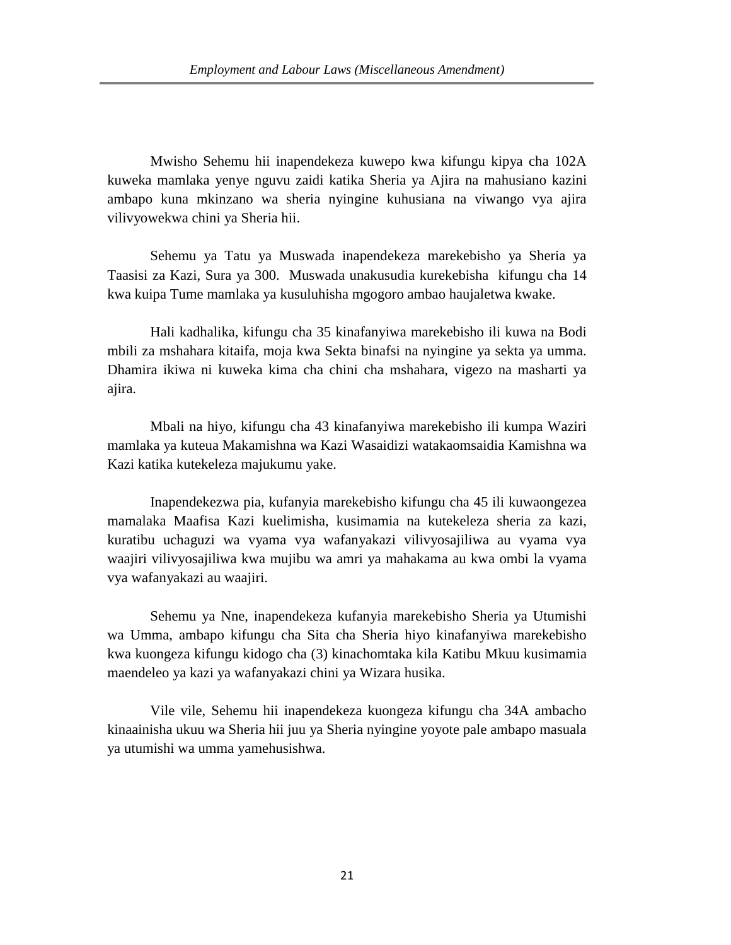Mwisho Sehemu hii inapendekeza kuwepo kwa kifungu kipya cha 102A kuweka mamlaka yenye nguvu zaidi katika Sheria ya Ajira na mahusiano kazini ambapo kuna mkinzano wa sheria nyingine kuhusiana na viwango vya ajira vilivyowekwa chini ya Sheria hii.

Sehemu ya Tatu ya Muswada inapendekeza marekebisho ya Sheria ya Taasisi za Kazi, Sura ya 300. Muswada unakusudia kurekebisha kifungu cha 14 kwa kuipa Tume mamlaka ya kusuluhisha mgogoro ambao haujaletwa kwake.

Hali kadhalika, kifungu cha 35 kinafanyiwa marekebisho ili kuwa na Bodi mbili za mshahara kitaifa, moja kwa Sekta binafsi na nyingine ya sekta ya umma. Dhamira ikiwa ni kuweka kima cha chini cha mshahara, vigezo na masharti ya ajira.

Mbali na hiyo, kifungu cha 43 kinafanyiwa marekebisho ili kumpa Waziri mamlaka ya kuteua Makamishna wa Kazi Wasaidizi watakaomsaidia Kamishna wa Kazi katika kutekeleza majukumu yake.

Inapendekezwa pia, kufanyia marekebisho kifungu cha 45 ili kuwaongezea mamalaka Maafisa Kazi kuelimisha, kusimamia na kutekeleza sheria za kazi, kuratibu uchaguzi wa vyama vya wafanyakazi vilivyosajiliwa au vyama vya waajiri vilivyosajiliwa kwa mujibu wa amri ya mahakama au kwa ombi la vyama vya wafanyakazi au waajiri.

Sehemu ya Nne, inapendekeza kufanyia marekebisho Sheria ya Utumishi wa Umma, ambapo kifungu cha Sita cha Sheria hiyo kinafanyiwa marekebisho kwa kuongeza kifungu kidogo cha (3) kinachomtaka kila Katibu Mkuu kusimamia maendeleo ya kazi ya wafanyakazi chini ya Wizara husika.

Vile vile, Sehemu hii inapendekeza kuongeza kifungu cha 34A ambacho kinaainisha ukuu wa Sheria hii juu ya Sheria nyingine yoyote pale ambapo masuala ya utumishi wa umma yamehusishwa.